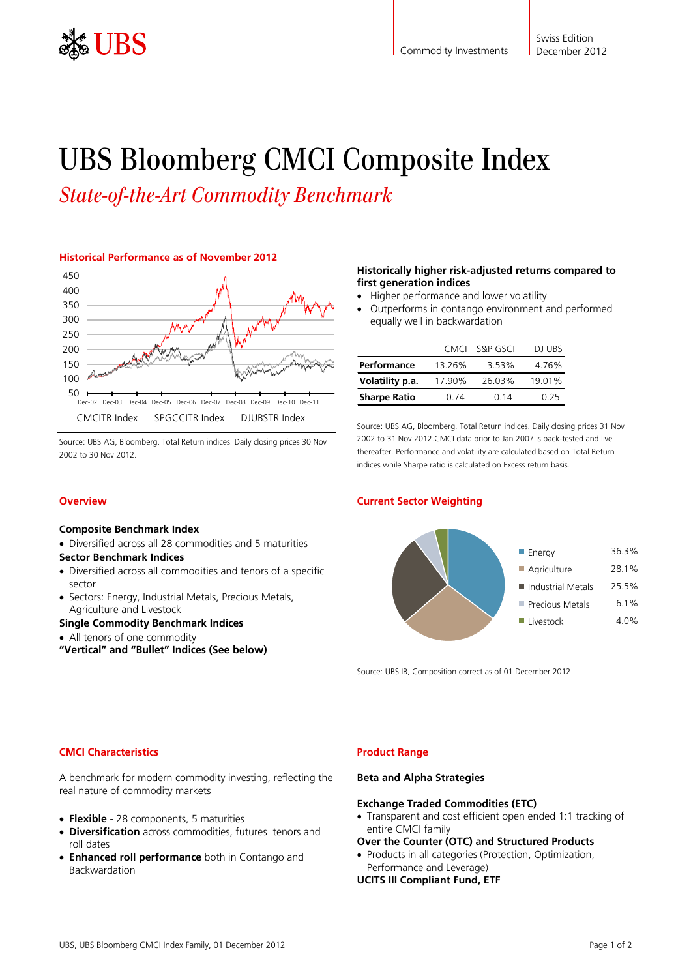

# UBS Bloomberg CMCI Composite Index

*State-of-the-Art Commodity Benchmark* 

# **Historical Performance as of November 2012**



Source: UBS AG, Bloomberg. Total Return indices. Daily closing prices 30 Nov 2002 to 30 Nov 2012.

Diversified across all 28 commodities and 5 maturities

Sectors: Energy, Industrial Metals, Precious Metals,

Diversified across all commodities and tenors of a specific

## **Historically higher risk-adjusted returns compared to first generation indices**

- Higher performance and lower volatility
- Outperforms in contango environment and performed equally well in backwardation

|                     | CMCI   | S&P GSCI | <b>DI URS</b> |
|---------------------|--------|----------|---------------|
| Performance         | 13.26% | 3.53%    | 4.76%         |
| Volatility p.a.     | 17.90% | 26.03%   | 19.01%        |
| <b>Sharpe Ratio</b> | N 74   | 0.14     | በ 25          |

Source: UBS AG, Bloomberg. Total Return indices. Daily closing prices 31 Nov 2002 to 31 Nov 2012.CMCI data prior to Jan 2007 is back-tested and live thereafter. Performance and volatility are calculated based on Total Return indices while Sharpe ratio is calculated on Excess return basis.

## **Current Sector Weighting**



Source: UBS IB, Composition correct as of 01 December 2012

# **CMCI Characteristics**

**Overview** 

sector

**Composite Benchmark Index** 

**Sector Benchmark Indices** 

Agriculture and Livestock

All tenors of one commodity

**Single Commodity Benchmark Indices** 

**"Vertical" and "Bullet" Indices (See below)** 

A benchmark for modern commodity investing, reflecting the real nature of commodity markets

- **Flexible** 28 components, 5 maturities
- **Diversification** across commodities, futures tenors and roll dates
- **Enhanced roll performance** both in Contango and Backwardation

## **Product Range**

#### **Beta and Alpha Strategies**

#### **Exchange Traded Commodities (ETC)**

- Transparent and cost efficient open ended 1:1 tracking of entire CMCI family
- **Over the Counter (OTC) and Structured Products**
- Products in all categories (Protection, Optimization, Performance and Leverage)

**UCITS III Compliant Fund, ETF**